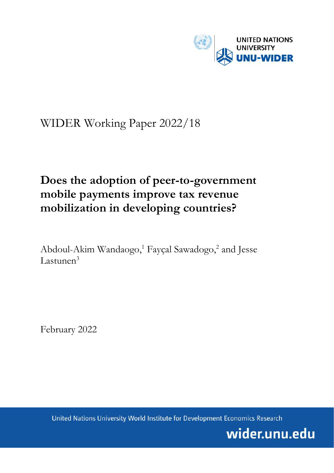

# WIDER Working Paper 2022/18

## **Does the adoption of peer-to-government mobile payments improve tax revenue mobilization in developing countries?**

Abdoul-Akim Wandaogo, <sup>1</sup> Fayçal Sawadogo, 2 and Jesse Lastunen<sup>3</sup>

February 2022

United Nations University World Institute for Development Economics Research

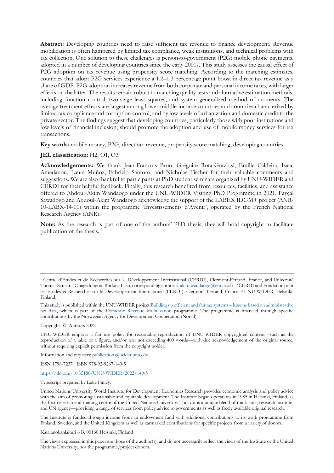**Abstract:** Developing countries need to raise sufficient tax revenue to finance development. Revenue mobilization is often hampered by limited tax compliance, weak institutions, and technical problems with tax collection. One solution to these challenges is person-to-government (P2G) mobile phone payments, adopted in a number of developing countries since the early 2000s. This study assesses the causal effect of P2G adoption on tax revenue using propensity score matching. According to the matching estimates, countries that adopt P2G services experience a 1.2–1.3 percentage point boost in direct tax revenue as a share of GDP. P2G adoption increases revenue from both corporate and personal income taxes, with larger effects on the latter. The results remain robust to matching quality tests and alternative estimation methods, including function control, two-stage least squares, and system generalized method of moments. The average treatment effects are largest among lower-middle-income countries and countries characterized by limited tax compliance and corruption control, and by low levels of urbanization and domestic credit to the private sector. The findings suggest that developing countries, particularly those with poor institutions and low levels of financial inclusion, should promote the adoption and use of mobile money services for tax transactions.

**Key words:** mobile money, P2G, direct tax revenue, propensity score matching, developing countries

#### **JEL classification:** H2, O1, O3

**Acknowledgements:** We thank Jean-François Brun, Grégoire Rota-Graziosi, Emilie Caldeira, Isaac Amedanou, Laura Muñoz, Fabrizio Santoro, and Nicholas Fischer for their valuable comments and suggestions. We are also thankful to participants at PhD student seminars organized by UNU-WIDER and CERDI for their helpful feedback. Finally, this research benefited from resources, facilities, and assistance offered to Abdoul-Akim Wandaogo under the UNU-WIDER Visiting PhD Programme in 2021. Fayçal Sawadogo and Abdoul-Akim Wandaogo acknowledge the support of the LABEX IDGM+ project (ANR-10-LABX-14-01) within the programme 'Investissements d'Avenir', operated by the French National Research Agency (ANR).

**Note:** As the research is part of one of the authors' PhD thesis, they will hold copyright to facilitate publication of the thesis.

Copyright © Authors 2022

UNU-WIDER employs a fair use policy for reasonable reproduction of UNU-WIDER copyrighted content—such as the reproduction of a table or a figure, and/or text not exceeding 400 words—with due acknowledgement of the original source, without requiring explicit permission from the copyright holder.

Information and requests[: publications@wider.unu.edu](mailto:publications@wider.unu.edu)

ISSN 1798-7237 ISBN 978-92-9267-149-5

#### <https://doi.org/10.35188/UNU-WIDER/2022/149-5>

Typescript prepared by Luke Finley.

United Nations University World Institute for Development Economics Research provides economic analysis and policy advice with the aim of promoting sustainable and equitable development. The Institute began operations in 1985 in Helsinki, Finland, as the first research and training centre of the United Nations University. Today it is a unique blend of think tank, research institute, and UN agency—providing a range of services from policy advice to governments as well as freely available original research.

The Institute is funded through income from an endowment fund with additional contributions to its work programme from Finland, Sweden, and the United Kingdom as well as earmarked contributions for specific projects from a variety of donors.

Katajanokanlaituri 6 B, 00160 Helsinki, Finland

The views expressed in this paper are those of the author(s), and do not necessarily reflect the views of the Institute or the United Nations University, nor the programme/project donors.

<sup>1</sup> Centre d'Études et de Recherches sur le Développement International (CERDI), Clermont-Ferrand, France, and Université Thomas Sankara, Ouagadougou, Burkina Faso, corresponding author[: a-akim.wandaogo@etu.uca.fr](mailto:a-akim.wandaogo@etu.uca.fr) ; 2 CERDI and Fondation pour les Etudes et Recherches sur le Développement International (FERDI), Clermont-Ferrand, France; <sup>3</sup> UNU-WIDER, Helsinki, Finland.

This study is published within the UNU-WIDER projec[t Building up efficient and fair tax systems](https://www.wider.unu.edu/node/236947) – lessons based on administrative [tax data,](https://www.wider.unu.edu/node/236947) which is part of the [Domestic Revenue Mobilization](https://www.wider.unu.edu/node/237587) programme. The programme is financed through specific contributions by the Norwegian Agency for Development Cooperation (Norad).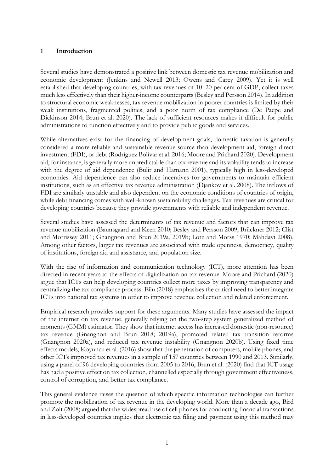## **1 Introduction**

Several studies have demonstrated a positive link between domestic tax revenue mobilization and economic development (Jenkins and Newell 2013; Owens and Carey 2009). Yet it is well established that developing countries, with tax revenues of 10–20 per cent of GDP, collect taxes much less effectively than their higher-income counterparts (Besley and Persson 2014). In addition to structural economic weaknesses, tax revenue mobilization in poorer countries is limited by their weak institutions, fragmented polities, and a poor norm of tax compliance (De Paepe and Dickinson 2014; Brun et al. 2020). The lack of sufficient resources makes it difficult for public administrations to function effectively and to provide public goods and services.

While alternatives exist for the financing of development goals, domestic taxation is generally considered a more reliable and sustainable revenue source than development aid, foreign direct investment (FDI), or debt (Rodríguez Bolívar et al. 2016; Moore and Prichard 2020). Development aid, for instance, is generally more unpredictable than tax revenue and its volatility tends to increase with the degree of aid dependence (Bulir and Hamann 2001), typically high in less-developed economies. Aid dependence can also reduce incentives for governments to maintain efficient institutions, such as an effective tax revenue administration (Djankov et al. 2008). The inflows of FDI are similarly unstable and also dependent on the economic conditions of countries of origin, while debt financing comes with well-known sustainability challenges. Tax revenues are critical for developing countries because they provide governments with reliable and independent revenue.

Several studies have assessed the determinants of tax revenue and factors that can improve tax revenue mobilization (Baunsgaard and Keen 2010; Besley and Persson 2009; Brückner 2012; Clist and Morrissey 2011; Gnangnon and Brun 2019a, 2019b; Lotz and Morss 1970; Mahdavi 2008). Among other factors, larger tax revenues are associated with trade openness, democracy, quality of institutions, foreign aid and assistance, and population size.

With the rise of information and communication technology (ICT), more attention has been directed in recent years to the effects of digitalization on tax revenue. Moore and Prichard (2020) argue that ICTs can help developing countries collect more taxes by improving transparency and centralizing the tax compliance process. Eilu (2018) emphasizes the critical need to better integrate ICTs into national tax systems in order to improve revenue collection and related enforcement.

Empirical research provides support for these arguments. Many studies have assessed the impact of the internet on tax revenue, generally relying on the two-step system generalized method of moments (GMM) estimator. They show that internet access has increased domestic (non-resource) tax revenue (Gnangnon and Brun 2018; 2019a), promoted related tax transition reforms (Gnangnon 2020a), and reduced tax revenue instability (Gnangnon 2020b). Using fixed time effects models, Koyuncu et al. (2016) show that the penetration of computers, mobile phones, and other ICTs improved tax revenues in a sample of 157 countries between 1990 and 2013. Similarly, using a panel of 96 developing countries from 2005 to 2016, Brun et al. (2020) find that ICT usage has had a positive effect on tax collection, channelled especially through government effectiveness, control of corruption, and better tax compliance.

This general evidence raises the question of which specific information technologies can further promote the mobilization of tax revenue in the developing world. More than a decade ago, Bird and Zolt (2008) argued that the widespread use of cell phones for conducting financial transactions in less-developed countries implies that electronic tax filing and payment using this method may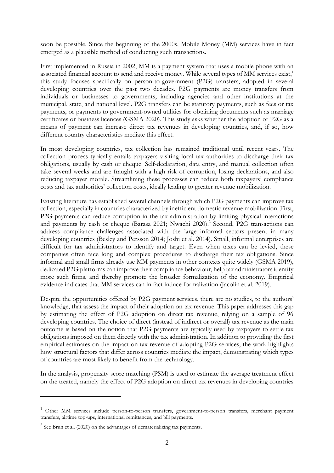soon be possible. Since the beginning of the 2000s, Mobile Money (MM) services have in fact emerged as a plausible method of conducting such transactions.

First implemented in Russia in 2002, MM is a payment system that uses a mobile phone with an associated financial account to send and receive money. While several types of MM services exist,<sup>1</sup> this study focuses specifically on person-to-government (P2G) transfers, adopted in several developing countries over the past two decades. P2G payments are money transfers from individuals or businesses to governments, including agencies and other institutions at the municipal, state, and national level. P2G transfers can be statutory payments, such as fees or tax payments, or payments to government-owned utilities for obtaining documents such as marriage certificates or business licences (GSMA 2020). This study asks whether the adoption of P2G as a means of payment can increase direct tax revenues in developing countries, and, if so, how different country characteristics mediate this effect.

In most developing countries, tax collection has remained traditional until recent years. The collection process typically entails taxpayers visiting local tax authorities to discharge their tax obligations, usually by cash or cheque. Self-declaration, data entry, and manual collection often take several weeks and are fraught with a high risk of corruption, losing declarations, and also reducing taxpayer morale. Streamlining these processes can reduce both taxpayers' compliance costs and tax authorities' collection costs, ideally leading to greater revenue mobilization.

Existing literature has established several channels through which P2G payments can improve tax collection, especially in countries characterized by inefficient domestic revenue mobilization. First, P2G payments can reduce corruption in the tax administration by limiting physical interactions and payments by cash or cheque (Barasa 2021; Nwachi 2020).<sup>2</sup> Second, P2G transactions can address compliance challenges associated with the large informal sectors present in many developing countries (Besley and Persson 2014; Joshi et al. 2014). Small, informal enterprises are difficult for tax administrators to identify and target. Even when taxes can be levied, these companies often face long and complex procedures to discharge their tax obligations. Since informal and small firms already use MM payments in other contexts quite widely (GSMA 2019), dedicated P2G platforms can improve their compliance behaviour, help tax administrators identify more such firms, and thereby promote the broader formalization of the economy. Empirical evidence indicates that MM services can in fact induce formalization (Jacolin et al. 2019).

Despite the opportunities offered by P2G payment services, there are no studies, to the authors' knowledge, that assess the impact of their adoption on tax revenue. This paper addresses this gap by estimating the effect of P2G adoption on direct tax revenue, relying on a sample of 96 developing countries. The choice of direct (instead of indirect or overall) tax revenue as the main outcome is based on the notion that P2G payments are typically used by taxpayers to settle tax obligations imposed on them directly with the tax administration. In addition to providing the first empirical estimates on the impact on tax revenue of adopting P2G services, the work highlights how structural factors that differ across countries mediate the impact, demonstrating which types of countries are most likely to benefit from the technology.

In the analysis, propensity score matching (PSM) is used to estimate the average treatment effect on the treated, namely the effect of P2G adoption on direct tax revenues in developing countries

-

<sup>&</sup>lt;sup>1</sup> Other MM services include person-to-person transfers, government-to-person transfers, merchant payment transfers, airtime top-ups, international remittances, and bill payments.

 $2^{2}$  See Brun et al. (2020) on the advantages of dematerializing tax payments.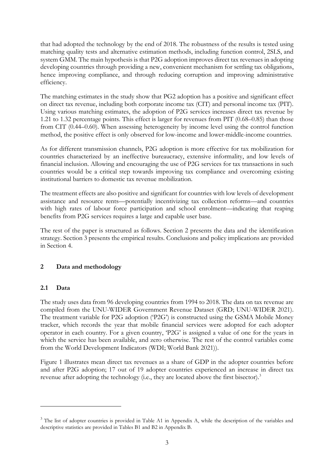that had adopted the technology by the end of 2018. The robustness of the results is tested using matching quality tests and alternative estimation methods, including function control, 2SLS, and system GMM. The main hypothesis is that P2G adoption improves direct tax revenues in adopting developing countries through providing a new, convenient mechanism for settling tax obligations, hence improving compliance, and through reducing corruption and improving administrative efficiency.

The matching estimates in the study show that PG2 adoption has a positive and significant effect on direct tax revenue, including both corporate income tax (CIT) and personal income tax (PIT). Using various matching estimates, the adoption of P2G services increases direct tax revenue by 1.21 to 1.32 percentage points. This effect is larger for revenues from PIT (0.68–0.85) than those from CIT (0.44–0.60). When assessing heterogeneity by income level using the control function method, the positive effect is only observed for low-income and lower-middle-income countries.

As for different transmission channels, P2G adoption is more effective for tax mobilization for countries characterized by an ineffective bureaucracy, extensive informality, and low levels of financial inclusion. Allowing and encouraging the use of P2G services for tax transactions in such countries would be a critical step towards improving tax compliance and overcoming existing institutional barriers to domestic tax revenue mobilization.

The treatment effects are also positive and significant for countries with low levels of development assistance and resource rents—potentially incentivizing tax collection reforms—and countries with high rates of labour force participation and school enrolment—indicating that reaping benefits from P2G services requires a large and capable user base.

The rest of the paper is structured as follows. Section 2 presents the data and the identification strategy. Section 3 presents the empirical results. Conclusions and policy implications are provided in Section 4.

## **2 Data and methodology**

### **2.1 Data**

<u>.</u>

The study uses data from 96 developing countries from 1994 to 2018. The data on tax revenue are compiled from the UNU-WIDER Government Revenue Dataset (GRD; UNU-WIDER 2021). The treatment variable for P2G adoption ('P2G') is constructed using the GSMA Mobile Money tracker, which records the year that mobile financial services were adopted for each adopter operator in each country. For a given country, 'P2G' is assigned a value of one for the years in which the service has been available, and zero otherwise. The rest of the control variables come from the World Development Indicators (WDI; World Bank 2021)).

Figure 1 illustrates mean direct tax revenues as a share of GDP in the adopter countries before and after P2G adoption; 17 out of 19 adopter countries experienced an increase in direct tax revenue after adopting the technology (i.e., they are located above the first bisector).<sup>3</sup>

<sup>&</sup>lt;sup>3</sup> The list of adopter countries is provided in Table A1 in Appendix A, while the description of the variables and descriptive statistics are provided in Tables B1 and B2 in Appendix B.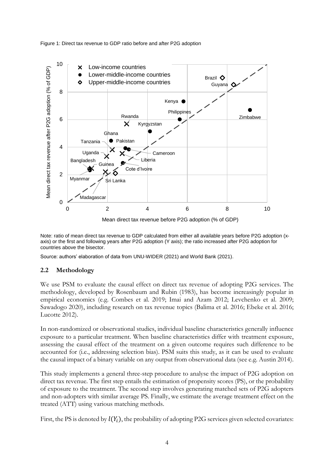Figure 1: Direct tax revenue to GDP ratio before and after P2G adoption



Note: ratio of mean direct tax revenue to GDP calculated from either all available years before P2G adoption (xaxis) or the first and following years after P2G adoption (Y axis); the ratio increased after P2G adoption for countries above the bisector.

Source: authors' elaboration of data from UNU-WIDER (2021) and World Bank (2021).

### **2.2 Methodology**

We use PSM to evaluate the causal effect on direct tax revenue of adopting P2G services. The methodology, developed by Rosenbaum and Rubin (1983), has become increasingly popular in empirical economics (e.g. Combes et al. 2019; Imai and Azam 2012; Levchenko et al. 2009; Sawadogo 2020), including research on tax revenue topics (Balima et al. 2016; Ebeke et al. 2016; Lucotte 2012).

In non-randomized or observational studies, individual baseline characteristics generally influence exposure to a particular treatment. When baseline characteristics differ with treatment exposure, assessing the causal effect of the treatment on a given outcome requires such difference to be accounted for (i.e., addressing selection bias). PSM suits this study, as it can be used to evaluate the causal impact of a binary variable on any output from observational data (see e.g. Austin 2014).

This study implements a general three-step procedure to analyse the impact of P2G adoption on direct tax revenue. The first step entails the estimation of propensity scores (PS), or the probability of exposure to the treatment. The second step involves generating matched sets of P2G adopters and non-adopters with similar average PS. Finally, we estimate the average treatment effect on the treated (ATT) using various matching methods.

First, the PS is denoted by  $l(Y_i)$ , the probability of adopting P2G services given selected covariates: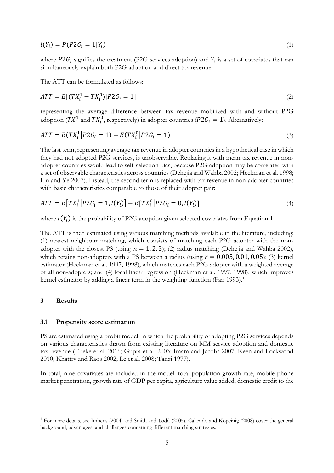$$
l(Y_i) = P(P2G_i = 1|Y_i) \tag{1}
$$

where  $P2G_i$  signifies the treatment (P2G services adoption) and  $Y_i$  is a set of covariates that can simultaneously explain both P2G adoption and direct tax revenue.

The ATT can be formulated as follows:

$$
ATT = E[(TX_i^1 - TX_i^0)|P2G_i = 1]
$$
\n(2)

representing the average difference between tax revenue mobilized with and without P2G adoption ( $TX_i^1$  and  $TX_i^0$ , respectively) in adopter countries ( $P2G_i = 1$ ). Alternatively:

$$
ATT = E(TX_i^1 | P2G_i = 1) - E(TX_i^0 | P2G_i = 1)
$$
\n(3)

The last term, representing average tax revenue in adopter countries in a hypothetical case in which they had not adopted P2G services, is unobservable. Replacing it with mean tax revenue in nonadopter countries would lead to self-selection bias, because P2G adoption may be correlated with a set of observable characteristics across countries (Dehejia and Wahba 2002; Heckman et al. 1998; Lin and Ye 2007). Instead, the second term is replaced with tax revenue in non-adopter countries with basic characteristics comparable to those of their adopter pair:

$$
ATT = E\big[TX_i^1\big|P2G_i = 1, l(Y_i)\big] - E\big[TX_i^0\big|P2G_i = 0, l(Y_i)\big] \tag{4}
$$

where  $l(Y_i)$  is the probability of P2G adoption given selected covariates from Equation 1.

The ATT is then estimated using various matching methods available in the literature, including: (1) nearest neighbour matching, which consists of matching each P2G adopter with the nonadopter with the closest PS (using  $n = 1, 2, 3$ ); (2) radius matching (Dehejia and Wahba 2002), which retains non-adopters with a PS between a radius (using  $r = 0.005, 0.01, 0.05$ ); (3) kernel estimator (Heckman et al. 1997, 1998), which matches each P2G adopter with a weighted average of all non-adopters; and (4) local linear regression (Heckman et al. 1997, 1998), which improves kernel estimator by adding a linear term in the weighting function (Fan 1993).<sup>4</sup>

#### **3 Results**

<u>.</u>

#### **3.1 Propensity score estimation**

PS are estimated using a probit model, in which the probability of adopting P2G services depends on various characteristics drawn from existing literature on MM service adoption and domestic tax revenue (Ebeke et al. 2016; Gupta et al. 2003; Imam and Jacobs 2007; Keen and Lockwood 2010; Khattry and Raos 2002; Le et al. 2008; Tanzi 1977).

In total, nine covariates are included in the model: total population growth rate, mobile phone market penetration, growth rate of GDP per capita, agriculture value added, domestic credit to the

<sup>&</sup>lt;sup>4</sup> For more details, see Imbens (2004) and Smith and Todd (2005). Caliendo and Kopeinig (2008) cover the general background, advantages, and challenges concerning different matching strategies.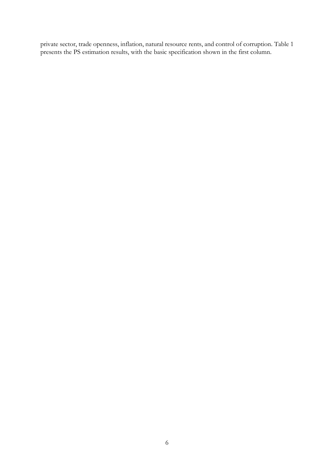private sector, trade openness, inflation, natural resource rents, and control of corruption. Table 1 presents the PS estimation results, with the basic specification shown in the first column.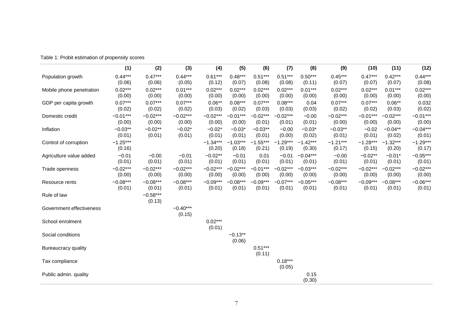|                          | (1)                  | (2)                  | (3)                  | (4)                  | (5)                  | (6)                  | (7)                  | (8)                  | (9)                  | (10)                 | (11)                 | (12)                 |
|--------------------------|----------------------|----------------------|----------------------|----------------------|----------------------|----------------------|----------------------|----------------------|----------------------|----------------------|----------------------|----------------------|
| Population growth        | $0.44***$<br>(0.06)  | $0.47***$<br>(0.06)  | $0.44***$<br>(0.05)  | $0.61***$<br>(0.12)  | $0.48***$<br>(0.07)  | $0.51***$<br>(0.08)  | $0.51***$<br>(0.08)  | $0.50***$<br>(0.11)  | $0.45***$<br>(0.07)  | $0.47***$<br>(0.07)  | $0.42***$<br>(0.07)  | $0.44***$<br>(0.08)  |
| Mobile phone penetration | $0.02***$<br>(0.00)  | $0.02***$<br>(0.00)  | $0.01***$<br>(0.00)  | $0.02***$<br>(0.00)  | $0.02***$<br>(0.00)  | $0.02***$<br>(0.00)  | $0.02***$<br>(0.00)  | $0.01***$<br>(0.00)  | $0.02***$<br>(0.00)  | $0.02***$<br>(0.00)  | $0.01***$<br>(0.00)  | $0.02***$<br>(0.00)  |
| GDP per capita growth    | $0.07***$<br>(0.02)  | $0.07***$<br>(0.02)  | $0.07***$<br>(0.02)  | $0.06**$<br>(0.03)   | $0.08***$<br>(0.02)  | $0.07***$<br>(0.03)  | $0.08***$<br>(0.03)  | 0.04<br>(0.03)       | $0.07***$<br>(0.02)  | $0.07***$<br>(0.02)  | $0.06***$<br>(0.03)  | 0.032<br>(0.02)      |
| Domestic credit          | $-0.01***$<br>(0.00) | $-0.02***$<br>(0.00) | $-0.02***$<br>(0.00) | $-0.02***$<br>(0.00) | $-0.01***$<br>(0.00) | $-0.02***$<br>(0.01) | $-0.02***$<br>(0.01) | $-0.00$<br>(0.01)    | $-0.02***$<br>(0.00) | $-0.01***$<br>(0.00) | $-0.02***$<br>(0.00) | $-0.01***$<br>(0.00) |
| Inflation                | $-0.03**$<br>(0.01)  | $-0.02**$<br>(0.01)  | $-0.02*$<br>(0.01)   | $-0.02*$<br>(0.01)   | $-0.03*$<br>(0.01)   | $-0.03**$<br>(0.01)  | $-0.00$<br>(0.00)    | $-0.03*$<br>(0.02)   | $-0.03**$<br>(0.01)  | $-0.02$<br>(0.01)    | $-0.04**$<br>(0.02)  | $-0.04***$<br>(0.01) |
| Control of corruption    | $-1.25***$<br>(0.16) |                      |                      | $-1.34***$<br>(0.20) | $-1.03***$<br>(0.18) | $-1.55***$<br>(0.21) | $-1.29***$<br>(0.19) | $-1.42***$<br>(0.30) | $-1.21***$<br>(0.17) | $-1.28***$<br>(0.15) | $-1.32***$<br>(0.20) | $-1.29***$<br>(0.17) |
| Agriculture value added  | $-0.01$<br>(0.01)    | $-0.00$<br>(0.01)    | $-0.01$<br>(0.01)    | $-0.02**$<br>(0.01)  | $-0.01$<br>(0.01)    | 0.01<br>(0.01)       | $-0.01$<br>(0.01)    | $-0.04***$<br>(0.01) | $-0.00$<br>(0.01)    | $-0.02**$<br>(0.01)  | $-0.01*$<br>(0.01)   | $-0.05***$<br>(0.01) |
| Trade openness           | $-0.02***$<br>(0.00) | $-0.02***$<br>(0.00) | $-0.02***$<br>(0.00) | $-0.02***$<br>(0.00) | $-0.02***$<br>(0.00) | $-0.01***$<br>(0.00) | $-0.02***$<br>(0.00) | $-0.03***$<br>(0.00) | $-0.02***$<br>(0.00) | $-0.02***$<br>(0.00) | $-0.02***$<br>(0.00) | $-0.02***$<br>(0.00) |
| Resource rents           | $-0.08***$<br>(0.01) | $-0.08***$<br>(0.01) | $-0.08***$<br>(0.01) | $-0.09***$<br>(0.01) | $-0.08***$<br>(0.01) | $-0.09***$<br>(0.01) | $-0.07***$<br>(0.01) | $-0.05***$<br>(0.01) | $-0.08***$<br>(0.01) | $-0.09***$<br>(0.01) | $-0.08***$<br>(0.01) | $-0.06***$<br>(0.01) |
| Rule of law              |                      | $-0.58***$<br>(0.13) |                      |                      |                      |                      |                      |                      |                      |                      |                      |                      |
| Government effectiveness |                      |                      | $-0.40***$<br>(0.15) |                      |                      |                      |                      |                      |                      |                      |                      |                      |
| School enrolment         |                      |                      |                      | $0.02***$<br>(0.01)  |                      |                      |                      |                      |                      |                      |                      |                      |
| Social conditions        |                      |                      |                      |                      | $-0.13**$<br>(0.06)  |                      |                      |                      |                      |                      |                      |                      |
| Bureaucracy quality      |                      |                      |                      |                      |                      | $0.51***$<br>(0.11)  |                      |                      |                      |                      |                      |                      |
| Tax compliance           |                      |                      |                      |                      |                      |                      | $0.18***$<br>(0.05)  |                      |                      |                      |                      |                      |
| Public admin. quality    |                      |                      |                      |                      |                      |                      |                      | 0.15<br>(0.30)       |                      |                      |                      |                      |

Table 1: Probit estimation of propensity scores

7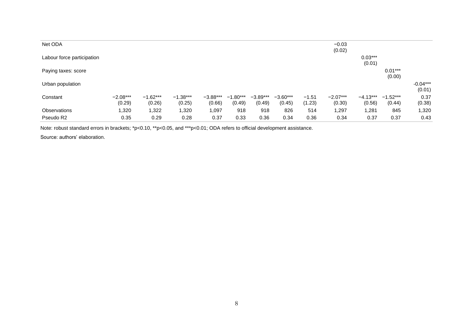| Net ODA                    |                      |                      |                      |                      |                      |                      |                      |                   | $-0.03$<br>(0.02)    |                      |                      |                      |
|----------------------------|----------------------|----------------------|----------------------|----------------------|----------------------|----------------------|----------------------|-------------------|----------------------|----------------------|----------------------|----------------------|
| Labour force participation |                      |                      |                      |                      |                      |                      |                      |                   |                      | $0.03***$<br>(0.01)  |                      |                      |
| Paying taxes: score        |                      |                      |                      |                      |                      |                      |                      |                   |                      |                      | $0.01***$<br>(0.00)  |                      |
| Urban population           |                      |                      |                      |                      |                      |                      |                      |                   |                      |                      |                      | $-0.04***$<br>(0.01) |
| Constant                   | $-2.08***$<br>(0.29) | $-1.62***$<br>(0.26) | $-1.38***$<br>(0.25) | $-3.88***$<br>(0.66) | $-1.80***$<br>(0.49) | $-3.89***$<br>(0.49) | $-3.60***$<br>(0.45) | $-1.51$<br>(1.23) | $-2.07***$<br>(0.30) | $-4.13***$<br>(0.56) | $-1.52***$<br>(0.44) | 0.37<br>(0.38)       |
| Observations               | 1,320                | 1,322                | 1,320                | 1,097                | 918                  | 918                  | 826                  | 514               | 1,297                | 1,281                | 845                  | 1,320                |
| Pseudo R2                  | 0.35                 | 0.29                 | 0.28                 | 0.37                 | 0.33                 | 0.36                 | 0.34                 | 0.36              | 0.34                 | 0.37                 | 0.37                 | 0.43                 |

Note: robust standard errors in brackets; \*p<0.10, \*\*p<0.05, and \*\*\*p<0.01; ODA refers to official development assistance.

Source: authors' elaboration.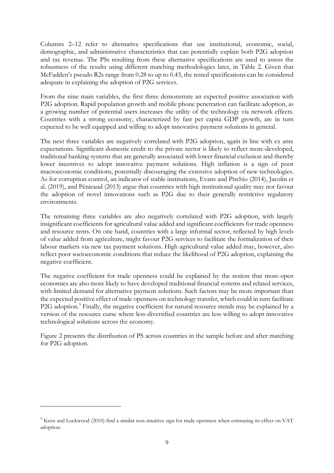Columns 2–12 refer to alternative specifications that use institutional, economic, social, demographic, and administrative characteristics that can potentially explain both P2G adoption and tax revenue. The PSs resulting from these alternative specifications are used to assess the robustness of the results using different matching methodologies later, in Table 2. Given that McFadden's pseudo R2s range from 0.28 to up to 0.43, the tested specifications can be considered adequate in explaining the adoption of P2G services.

From the nine main variables, the first three demonstrate an expected positive association with P2G adoption. Rapid population growth and mobile phone penetration can facilitate adoption, as a growing number of potential users increases the utility of the technology via network effects. Countries with a strong economy, characterized by fast per capita GDP growth, are in turn expected to be well equipped and willing to adopt innovative payment solutions in general.

The next three variables are negatively correlated with P2G adoption, again in line with ex ante expectations. Significant domestic credit to the private sector is likely to reflect more-developed, traditional banking systems that are generally associated with lower financial exclusion and thereby lower incentives to adopt innovative payment solutions. High inflation is a sign of poor macroeconomic conditions, potentially discouraging the extensive adoption of new technologies. As for corruption control, an indicator of stable institutions, Evans and Pirchio (2014), Jacolin et al. (2019), and Pénicaud (2013) argue that countries with high institutional quality may not favour the adoption of novel innovations such as P2G due to their generally restrictive regulatory environments.

The remaining three variables are also negatively correlated with P2G adoption, with largely insignificant coefficients for agricultural value added and significant coefficients for trade openness and resource rents. On one hand, countries with a large informal sector, reflected by high levels of value added from agriculture, might favour P2G services to facilitate the formalization of their labour markets via new tax payment solutions. High agricultural value added may, however, also reflect poor socioeconomic conditions that reduce the likelihood of P2G adoption, explaining the negative coefficient.

The negative coefficient for trade openness could be explained by the notion that more-open economies are also more likely to have developed traditional financial systems and related services, with limited demand for alternative payment solutions. Such factors may be more important than the expected positive effect of trade openness on technology transfer, which could in turn facilitate P2G adoption.<sup>5</sup> Finally, the negative coefficient for natural resource trends may be explained by a version of the resource curse where less-diversified countries are less willing to adopt innovative technological solutions across the economy.

Figure 2 presents the distribution of PS across countries in the sample before and after matching for P2G adoption.

<u>.</u>

<sup>&</sup>lt;sup>5</sup> Keen and Lockwood (2010) find a similar non-intuitive sign for trade openness when estimating its effect on VAT adoption.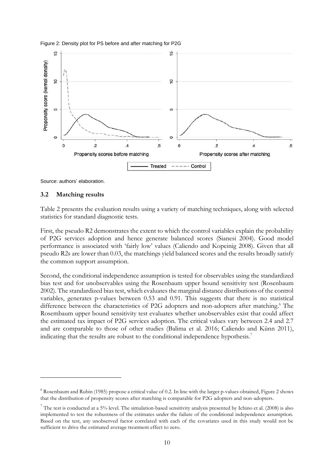



Source: authors' elaboration.

#### **3.2 Matching results**

-

Table 2 presents the evaluation results using a variety of matching techniques, along with selected statistics for standard diagnostic tests.

First, the pseudo R2 demonstrates the extent to which the control variables explain the probability of P2G services adoption and hence generate balanced scores (Sianesi 2004). Good model performance is associated with 'fairly low' values (Caliendo and Kopeinig 2008). Given that all pseudo R2s are lower than 0.03, the matchings yield balanced scores and the results broadly satisfy the common support assumption.

Second, the conditional independence assumption is tested for observables using the standardized bias test and for unobservables using the Rosenbaum upper bound sensitivity test (Rosenbaum 2002). The standardized bias test, which evaluates the marginal distance distributions of the control variables, generates p-values between 0.53 and 0.91. This suggests that there is no statistical difference between the characteristics of P2G adopters and non-adopters after matching.<sup>6</sup> The Rosembaum upper bound sensitivity test evaluates whether unobservables exist that could affect the estimated tax impact of P2G services adoption. The critical values vary between 2.4 and 2.7 and are comparable to those of other studies (Balima et al. 2016; Caliendo and Künn 2011), indicating that the results are robust to the conditional independence hypothesis.<sup>7</sup>

 $6$  Rosenbaum and Rubin (1985) propose a critical value of 0.2. In line with the larger p-values obtained, Figure 2 shows that the distribution of propensity scores after matching is comparable for P2G adopters and non-adopters.

 $7$  The test is conducted at a 5% level. The simulation-based sensitivity analysis presented by Ichino et al. (2008) is also implemented to test the robustness of the estimates under the failure of the conditional independence assumption. Based on the test, any unobserved factor correlated with each of the covariates used in this study would not be sufficient to drive the estimated average treatment effect to zero.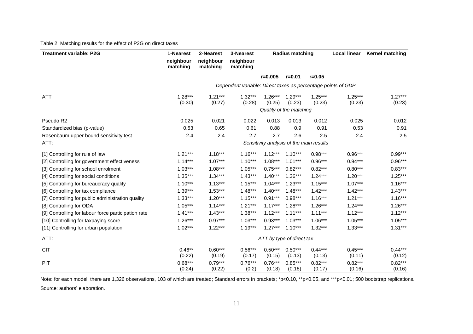#### Table 2: Matching results for the effect of P2G on direct taxes

| <b>Treatment variable: P2G</b>                      | 1-Nearest             | 2-Nearest             | 3-Nearest                                                    |                                          | <b>Radius matching</b>  |                     | <b>Local linear</b> | <b>Kernel matching</b> |
|-----------------------------------------------------|-----------------------|-----------------------|--------------------------------------------------------------|------------------------------------------|-------------------------|---------------------|---------------------|------------------------|
|                                                     | neighbour<br>matching | neighbour<br>matching | neighbour<br>matching                                        |                                          |                         |                     |                     |                        |
|                                                     |                       |                       |                                                              | $r = 0.005$                              | $r = 0.01$              | $r = 0.05$          |                     |                        |
|                                                     |                       |                       | Dependent variable: Direct taxes as percentage points of GDP |                                          |                         |                     |                     |                        |
| <b>ATT</b>                                          | $1.28***$             | $1.21***$             | $1.32***$                                                    | $1.26***$                                | $1.29***$               | $1.25***$           | $1.25***$           | $1.27***$              |
|                                                     | (0.30)                | (0.27)                | (0.28)                                                       | (0.25)                                   | (0.23)                  | (0.23)              | (0.23)              | (0.23)                 |
|                                                     |                       |                       |                                                              |                                          | Quality of the matching |                     |                     |                        |
| Pseudo R2                                           | 0.025                 | 0.021                 | 0.022                                                        | 0.013                                    | 0.013                   | 0.012               | 0.025               | 0.012                  |
| Standardized bias (p-value)                         | 0.53                  | 0.65                  | 0.61                                                         | 0.88                                     | 0.9                     | 0.91                | 0.53                | 0.91                   |
| Rosenbaum upper bound sensitivity test              | 2.4                   | 2.4                   | 2.7                                                          | 2.7                                      | 2.6                     | 2.5                 | 2.4                 | 2.5                    |
| ATT:                                                |                       |                       |                                                              | Sensitivity analysis of the main results |                         |                     |                     |                        |
| [1] Controlling for rule of law                     | $1.21***$             | $1.18***$             | $1.16***$                                                    | $1.12***$                                | $1.10***$               | $0.98***$           | $0.96***$           | $0.99***$              |
| [2] Controlling for government effectiveness        | $1.14***$             | $1.07***$             | $1.10***$                                                    | $1.08***$                                | $1.01***$               | $0.96***$           | $0.94***$           | $0.96***$              |
| [3] Controlling for school enrolment                | $1.03***$             | $1.08***$             | $1.05***$                                                    | $0.75***$                                | $0.82***$               | $0.82***$           | $0.80***$           | $0.83***$              |
| [4] Controlling for social conditions               | $1.35***$             | $1.34***$             | $1.43***$                                                    | $1.40***$                                | $1.36***$               | $1.24***$           | $1.20***$           | $1.25***$              |
| [5] Controlling for bureaucracy quality             | $1.10***$             | $1.13***$             | $1.15***$                                                    | $1.04***$                                | $1.23***$               | $1.15***$           | $1.07***$           | $1.16***$              |
| [6] Controlling for tax compliance                  | $1.39***$             | $1.53***$             | $1.48***$                                                    | $1.40***$                                | $1.48***$               | $1.42***$           | $1.42***$           | $1.43***$              |
| [7] Controlling for public administration quality   | $1.33***$             | $1.20***$             | $1.15***$                                                    | $0.91***$                                | $0.98***$               | $1.16***$           | $1.21***$           | $1.16***$              |
| [8] Controlling for ODA                             | $1.05***$             | $1.14***$             | $1.21***$                                                    | $1.17***$                                | $1.28***$               | $1.26***$           | $1.24***$           | $1.26***$              |
| [9] Controlling for labour force participation rate | $1.41***$             | $1.43***$             | $1.38***$                                                    | $1.12***$                                | $1.11***$               | $1.11***$           | $1.12***$           | $1.12***$              |
| [10] Controlling for taxpaying score                | $1.26***$             | $0.97***$             | $1.03***$                                                    | $0.93***$                                | $1.03***$               | $1.06***$           | $1.05***$           | $1.05***$              |
| [11] Controlling for urban population               | $1.02***$             | $1.22***$             | $1.19***$                                                    | $1.27***$                                | $1.10***$               | $1.32***$           | $1.33***$           | $1.31***$              |
| ATT:                                                |                       |                       |                                                              | ATT by type of direct tax                |                         |                     |                     |                        |
| <b>CIT</b>                                          | $0.46***$<br>(0.22)   | $0.60***$<br>(0.19)   | $0.56***$<br>(0.17)                                          | $0.50***$<br>(0.15)                      | $0.50***$<br>(0.13)     | $0.44***$<br>(0.13) | $0.45***$<br>(0.11) | $0.44***$<br>(0.12)    |
| PIT                                                 | $0.68***$<br>(0.24)   | $0.79***$<br>(0.22)   | $0.76***$<br>(0.2)                                           | $0.76***$<br>(0.18)                      | $0.85***$<br>(0.18)     | $0.82***$<br>(0.17) | $0.82***$<br>(0.16) | $0.82***$<br>(0.16)    |

Note: for each model, there are 1,326 observations, 103 of which are treated; Standard errors in brackets; \*p<0.10, \*\*p<0.05, and \*\*\*p<0.01; 500 bootstrap replications. Source: authors' elaboration.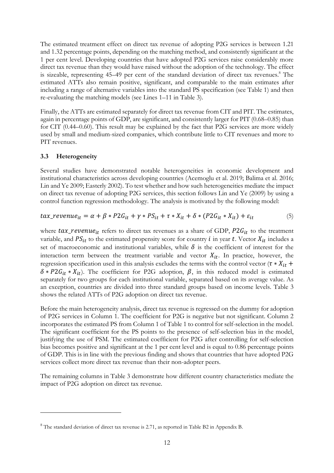The estimated treatment effect on direct tax revenue of adopting P2G services is between 1.21 and 1.32 percentage points, depending on the matching method, and consistently significant at the 1 per cent level. Developing countries that have adopted P2G services raise considerably more direct tax revenue than they would have raised without the adoption of the technology. The effect is sizeable, representing 45–49 per cent of the standard deviation of direct tax revenues. <sup>8</sup> The estimated ATTs also remain positive, significant, and comparable to the main estimates after including a range of alternative variables into the standard PS specification (see Table 1) and then re-evaluating the matching models (see Lines 1–11 in Table 3).

Finally, the ATTs are estimated separately for direct tax revenue from CIT and PIT. The estimates, again in percentage points of GDP, are significant, and consistently larger for PIT (0.68–0.85) than for CIT (0.44–0.60). This result may be explained by the fact that P2G services are more widely used by small and medium-sized companies, which contribute little to CIT revenues and more to PIT revenues.

## **3.3 Heterogeneity**

<u>.</u>

Several studies have demonstrated notable heterogeneities in economic development and institutional characteristics across developing countries (Acemoglu et al. 2019; Balima et al. 2016; Lin and Ye 2009; Easterly 2002). To test whether and how such heterogeneities mediate the impact on direct tax revenue of adopting P2G services, this section follows Lin and Ye (2009) by using a control function regression methodology. The analysis is motivated by the following model:

$$
tax\_revenue_{it} = \alpha + \beta * P2G_{it} + \gamma * PS_{it} + \tau * X_{it} + \delta * (P2G_{it} * X_{it}) + \varepsilon_{it}
$$
(5)

where  $tax\_revenue_{it}$  refers to direct tax revenues as a share of GDP,  $P2G_{it}$  to the treatment variable, and  $PS_{it}$  to the estimated propensity score for country *i* in year *t*. Vector  $X_{it}$  includes a set of macroeconomic and institutional variables, while  $\delta$  is the coefficient of interest for the interaction term between the treatment variable and vector  $X_{it}$ . In practice, however, the regression specification used in this analysis excludes the terms with the control vector ( $\tau * X_{it}$  +  $\delta * P2G_{it} * X_{it}$ ). The coefficient for P2G adoption,  $\beta$ , in this reduced model is estimated separately for two groups for each institutional variable, separated based on its average value. As an exception, countries are divided into three standard groups based on income levels. Table 3 shows the related ATTs of P2G adoption on direct tax revenue.

Before the main heterogeneity analysis, direct tax revenue is regressed on the dummy for adoption of P2G services in Column 1. The coefficient for P2G is negative but not significant. Column 2 incorporates the estimated PS from Column 1 of Table 1 to control for self-selection in the model. The significant coefficient for the PS points to the presence of self-selection bias in the model, justifying the use of PSM. The estimated coefficient for P2G after controlling for self-selection bias becomes positive and significant at the 1 per cent level and is equal to 0.86 percentage points of GDP. This is in line with the previous finding and shows that countries that have adopted P2G services collect more direct tax revenue than their non-adopter peers.

The remaining columns in Table 3 demonstrate how different country characteristics mediate the impact of P2G adoption on direct tax revenue.

<sup>&</sup>lt;sup>8</sup> The standard deviation of direct tax revenue is 2.71, as reported in Table B2 in Appendix B.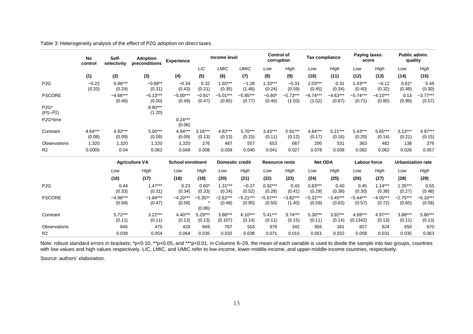|                                | No<br>control     | Self-<br>selectivity |                       | <b>Adoption</b><br>preconditions | <b>Experience</b>   |                        | Income level         |                       | <b>Control of</b><br>corruption |                     | <b>Tax compliance</b> |                     | Paying taxes:<br>score |                          | Public admin.<br>quality |  |
|--------------------------------|-------------------|----------------------|-----------------------|----------------------------------|---------------------|------------------------|----------------------|-----------------------|---------------------------------|---------------------|-----------------------|---------------------|------------------------|--------------------------|--------------------------|--|
|                                |                   |                      |                       |                                  | LIC <sub></sub>     | LMIC                   | <b>UMIC</b>          | Low                   | High                            | Low                 | High                  | Low                 | High                   | Low                      | High                     |  |
|                                | (1)               | (2)                  | (3)                   | (4)                              | (5)                 | (6)                    | (7)                  | (8)                   | (9)                             | (10)                | (11)                  | (12)                | (13)                   | (14)                     | (15)                     |  |
| P <sub>2</sub> G               | $-0.22$<br>(0.20) | $0.86***$<br>(0.24)  | $-0.68**$<br>(0.31)   | $-0.34$<br>(0.43)                | 0.32<br>(0.21)      | $1.65***$<br>(0.35)    | $-1.26$<br>(1.48)    | $.33***$<br>(0.24)    | $-0.31$<br>(0.59)               | $2.03***$<br>(0.45) | 0.31<br>(0.34)        | $.43***$<br>(0.40)  | $-0.12$<br>(0.32)      | $0.81*$<br>(0.48)        | 0.48<br>(0.30)           |  |
| <b>PSCORE</b>                  |                   | $-4.66***$<br>(0.46) | $-6.13***$<br>(0.50)  | $-5.00***$<br>(0.49)             | $-0.91*$<br>(0.47)  | $-5.01***$<br>(0.85)   | $-5.85***$<br>(0.77) | $-0.80*$<br>(0.46)    | -5.73***<br>(1.03)              | -6.74***<br>(1.02)  | $-4.63***$<br>(0.87)  | -5.74***<br>(0.71)  | $-4.15***$<br>(0.80)   | 0.13<br>(0.99)           | -3.77***<br>(0.57)       |  |
| $P2G*$<br>$(PS-\overline{PS})$ |                   |                      | $8.80***$<br>(1.20)   |                                  |                     |                        |                      |                       |                                 |                     |                       |                     |                        |                          |                          |  |
| P2G*time                       |                   |                      |                       | $0.24***$<br>(0.06)              |                     |                        |                      |                       |                                 |                     |                       |                     |                        |                          |                          |  |
| Constant                       | 4.64***<br>(0.08) | $4.92***$<br>(0.09)  | $5.00***$<br>(0.09)   | 4.94***<br>(0.09)                | $3.16***$<br>(0.13) | $4.82***$<br>(0.13)    | $5.70***$<br>(0.15)  | $3.43***$<br>(0.11)   | $5.91***$<br>(0.12)             | 4.84***<br>(0.17)   | $5.21***$<br>(0.16)   | $5.43***$<br>(0.20) | 5.65***<br>(0.14)      | $3.13***$<br>(0.21)      | 4.97***<br>(0.15)        |  |
| Observations                   | 1,320             | 1,320                | 1,320                 | 1,320                            | 276                 | 487                    | 557                  | 653                   | 667                             | 295                 | 531                   | 363                 | 482                    | 138                      | 376                      |  |
| R <sub>2</sub>                 | 0.0005            | 0.04                 | 0.062                 | 0.048                            | 0.008               | 0.059                  | 0.040                | 0.041                 | 0.027                           | 0.078               | 0.038                 | 0.082               | 0.062                  | 0.026                    | 0.057                    |  |
|                                |                   |                      | <b>Agriculture VA</b> | <b>School enrolment</b>          |                     | <b>Domestic credit</b> |                      | <b>Resource rents</b> |                                 | <b>Net ODA</b>      |                       | Labour force        |                        | <b>Urbanization rate</b> |                          |  |

|                  | <b>Agriculture VA</b> |                      | <b>School enrolment</b> |                     | <b>Domestic credit</b> |                      | Resource rents       |                      | <b>Net ODA</b>       |                      | Labour force          |                      | Urbanization rate    |                      |
|------------------|-----------------------|----------------------|-------------------------|---------------------|------------------------|----------------------|----------------------|----------------------|----------------------|----------------------|-----------------------|----------------------|----------------------|----------------------|
|                  | Low                   | High                 | Low                     | High                | Low                    | High                 | Low                  | High                 | Low                  | High                 | Low                   | High                 | Low                  | High                 |
|                  | (16)                  | (17)                 | (18)                    | (19)                | (20)                   | (21)                 | (22)                 | (23)                 | (24)                 | (25)                 | (26)                  | (27)                 | (28)                 | (29)                 |
| P <sub>2</sub> G | 0.44<br>(0.33)        | $1.47***$<br>(0.31)  | 0.23<br>(0.34)          | $0.60*$<br>(0.33)   | $1.31***$<br>(0.24)    | $-0.27$<br>(0.52)    | $0.92***$<br>(0.28)  | 0.43<br>(0.41)       | $0.83***$<br>(0.29)  | 0.40<br>(0.38)       | 0.45<br>(0.30)        | $.14***$<br>(0.38)   | $.35***$<br>(0.27)   | 0.55<br>(0.48)       |
| <b>PSCORE</b>    | $-4.98***$<br>(0.68)  | $-1.84***$<br>(0.47) | $-4.20***$<br>(0.58)    | $-5.35**$<br>(0.86) | $-2.62***$<br>(0.48)   | $-5.21***$<br>(0.95) | $-5.67***$<br>(0.50) | $-3.82***$<br>(1.40) | $-5.32***$<br>(0.59) | $-3.45***$<br>(0.63) | $-5.44***$<br>(0.57)  | $-4.05***$<br>(0.72) | $-2.75***$<br>(0.65) | $-6.10***$<br>(0.58) |
| Constant         | $5.72***$<br>(0.11)   | $3.22***$<br>(0.11)  | $4.40***$<br>(0.13)     | $5.29***$<br>(0.13) | $3.88***$<br>(0.107)   | $6.10***$<br>(0.14)  | $5.41***$<br>(0.11)  | $3.74***$<br>(0.15)  | $5.30***$<br>(0.11)  | $3.92***$<br>(0.14)  | $4.89***$<br>(0.1342) | 4.97***<br>(0.13)    | $3.88***$<br>(0.11)  | $5.80***$<br>(0.13)  |
| Observations     | 845                   | 475                  | 428                     | 669                 | 767                    | 553                  | 978                  | 342                  | 956                  | 341                  | 657                   | 624                  | 650                  | 670                  |
| R <sub>2</sub>   | 0.039                 | 0.054                | 0.064                   | 0.035               | 0.032                  | 0.038                | 0.071                | 0.015                | 0.051                | 0.032                | 0.058                 | 0.031                | 0.035                | 0.063                |

Note: robust standard errors in brackets; \*p<0.10, \*\*p<0.05, and \*\*\*p<0.01; in Columns 8–29, the mean of each variable is used to divide the sample into two groups, countries with low values and high values respectively. LIC, LMIC, and UMIC refer to low-income, lower-middle-income, and upper-middle-income countries, respectively.

Source: authors' elaboration.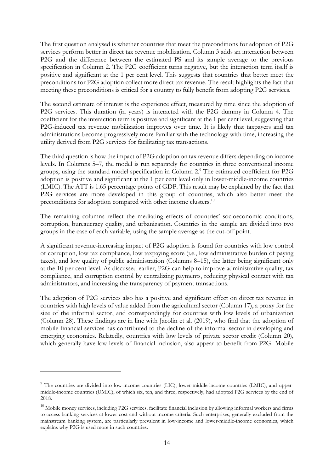The first question analysed is whether countries that meet the preconditions for adoption of P2G services perform better in direct tax revenue mobilization. Column 3 adds an interaction between P2G and the difference between the estimated PS and its sample average to the previous specification in Column 2. The P2G coefficient turns negative, but the interaction term itself is positive and significant at the 1 per cent level. This suggests that countries that better meet the preconditions for P2G adoption collect more direct tax revenue. The result highlights the fact that meeting these preconditions is critical for a country to fully benefit from adopting P2G services.

The second estimate of interest is the experience effect, measured by time since the adoption of P2G services. This duration (in years) is interacted with the P2G dummy in Column 4. The coefficient for the interaction term is positive and significant at the 1 per cent level, suggesting that P2G-induced tax revenue mobilization improves over time. It is likely that taxpayers and tax administrations become progressively more familiar with the technology with time, increasing the utility derived from P2G services for facilitating tax transactions.

The third question is how the impact of P2G adoption on tax revenue differs depending on income levels. In Columns 5–7, the model is run separately for countries in three conventional income groups, using the standard model specification in Column 2.<sup>9</sup> The estimated coefficient for P2G adoption is positive and significant at the 1 per cent level only in lower-middle-income countries (LMIC). The ATT is 1.65 percentage points of GDP. This result may be explained by the fact that P2G services are more developed in this group of countries, which also better meet the preconditions for adoption compared with other income clusters.<sup>10</sup>

The remaining columns reflect the mediating effects of countries' socioeconomic conditions, corruption, bureaucracy quality, and urbanization. Countries in the sample are divided into two groups in the case of each variable, using the sample average as the cut-off point.

A significant revenue-increasing impact of P2G adoption is found for countries with low control of corruption, low tax compliance, low taxpaying score (i.e., low administrative burden of paying taxes), and low quality of public administration (Columns 8–15), the latter being significant only at the 10 per cent level. As discussed earlier, P2G can help to improve administrative quality, tax compliance, and corruption control by centralizing payments, reducing physical contact with tax administrators, and increasing the transparency of payment transactions.

The adoption of P2G services also has a positive and significant effect on direct tax revenue in countries with high levels of value added from the agricultural sector (Column 17), a proxy for the size of the informal sector, and correspondingly for countries with low levels of urbanization (Column 28). These findings are in line with Jacolin et al. (2019), who find that the adoption of mobile financial services has contributed to the decline of the informal sector in developing and emerging economies. Relatedly, countries with low levels of private sector credit (Column 20), which generally have low levels of financial inclusion, also appear to benefit from P2G. Mobile

-

<sup>&</sup>lt;sup>9</sup> The countries are divided into low-income countries (LIC), lower-middle-income countries (LMIC), and uppermiddle-income countries (UMIC), of which six, ten, and three, respectively, had adopted P2G services by the end of 2018.

 $10$  Mobile money services, including P2G services, facilitate financial inclusion by allowing informal workers and firms to access banking services at lower cost and without income criteria. Such enterprises, generally excluded from the mainstream banking system, are particularly prevalent in low-income and lower-middle-income economies, which explains why P2G is used more in such countries.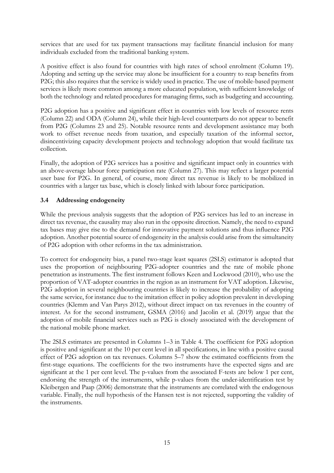services that are used for tax payment transactions may facilitate financial inclusion for many individuals excluded from the traditional banking system.

A positive effect is also found for countries with high rates of school enrolment (Column 19). Adopting and setting up the service may alone be insufficient for a country to reap benefits from P2G; this also requires that the service is widely used in practice. The use of mobile-based payment services is likely more common among a more educated population, with sufficient knowledge of both the technology and related procedures for managing firms, such as budgeting and accounting.

P2G adoption has a positive and significant effect in countries with low levels of resource rents (Column 22) and ODA (Column 24), while their high-level counterparts do not appear to benefit from P2G (Columns 23 and 25). Notable resource rents and development assistance may both work to offset revenue needs from taxation, and especially taxation of the informal sector, disincentivizing capacity development projects and technology adoption that would facilitate tax collection.

Finally, the adoption of P2G services has a positive and significant impact only in countries with an above-average labour force participation rate (Column 27). This may reflect a larger potential user base for P2G. In general, of course, more direct tax revenue is likely to be mobilized in countries with a larger tax base, which is closely linked with labour force participation.

## **3.4 Addressing endogeneity**

While the previous analysis suggests that the adoption of P2G services has led to an increase in direct tax revenue, the causality may also run in the opposite direction. Namely, the need to expand tax bases may give rise to the demand for innovative payment solutions and thus influence P2G adoption. Another potential source of endogeneity in the analysis could arise from the simultaneity of P2G adoption with other reforms in the tax administration.

To correct for endogeneity bias, a panel two-stage least squares (2SLS) estimator is adopted that uses the proportion of neighbouring P2G-adopter countries and the rate of mobile phone penetration as instruments. The first instrument follows Keen and Lockwood (2010), who use the proportion of VAT-adopter countries in the region as an instrument for VAT adoption. Likewise, P2G adoption in several neighbouring countries is likely to increase the probability of adopting the same service, for instance due to the imitation effect in policy adoption prevalent in developing countries (Klemm and Van Parys 2012), without direct impact on tax revenues in the country of interest. As for the second instrument, GSMA (2016) and Jacolin et al. (2019) argue that the adoption of mobile financial services such as P2G is closely associated with the development of the national mobile phone market.

The 2SLS estimates are presented in Columns 1–3 in Table 4. The coefficient for P2G adoption is positive and significant at the 10 per cent level in all specifications, in line with a positive causal effect of P2G adoption on tax revenues. Columns 5–7 show the estimated coefficients from the first-stage equations. The coefficients for the two instruments have the expected signs and are significant at the 1 per cent level. The p-values from the associated F-tests are below 1 per cent, endorsing the strength of the instruments, while p-values from the under-identification test by Kleibergen and Paap (2006) demonstrate that the instruments are correlated with the endogenous variable. Finally, the null hypothesis of the Hansen test is not rejected, supporting the validity of the instruments.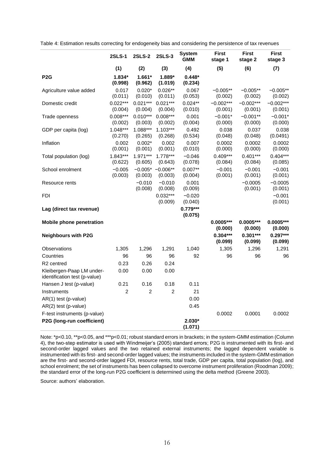|                                                            | <b>2SLS-1</b>         | <b>2SLS-2</b>         | <b>2SLS-3</b>                     | <b>System</b><br><b>GMM</b> | <b>First</b><br>stage 1 | <b>First</b><br>stage 2 | <b>First</b><br>stage 3 |
|------------------------------------------------------------|-----------------------|-----------------------|-----------------------------------|-----------------------------|-------------------------|-------------------------|-------------------------|
|                                                            | (1)                   | (2)                   | (3)                               | (4)                         | (5)                     | (6)                     | (7)                     |
| P <sub>2</sub> G                                           | $1.834*$<br>(0.998)   | $1.661*$<br>(0.962)   | 1.889*<br>(1.019)                 | $0.448*$<br>(0.234)         |                         |                         |                         |
| Agriculture value added                                    | 0.017<br>(0.011)      | $0.020*$<br>(0.010)   | $0.026**$<br>(0.011)              | 0.067<br>(0.053)            | $-0.005**$<br>(0.002)   | $-0.005**$<br>(0.002)   | $-0.005**$<br>(0.002)   |
| Domestic credit                                            | $0.022***$<br>(0.004) | $0.021***$<br>(0.004) | $0.021***$<br>(0.004)             | $0.024**$<br>(0.010)        | $-0.002***$<br>(0.001)  | $-0.002***$<br>(0.001)  | $-0.002***$<br>(0.001)  |
| Trade openness                                             | $0.008***$<br>(0.002) | $0.010***$<br>(0.003) | $0.008***$<br>(0.002)             | 0.001<br>(0.004)            | $-0.001*$<br>(0.000)    | $-0.001**$<br>(0.000)   | $-0.001*$<br>(0.000)    |
| GDP per capita (log)                                       | $1.048***$<br>(0.270) | 1.088***<br>(0.265)   | $1.103***$<br>(0.268)             | 0.492<br>(0.534)            | 0.038<br>(0.048)        | 0.037<br>(0.048)        | 0.038<br>(0.0491)       |
| Inflation                                                  | 0.002<br>(0.001)      | $0.002*$<br>(0.001)   | 0.002<br>(0.001)                  | 0.007<br>(0.010)            | 0.0002<br>(0.000)       | 0.0002<br>(0.000)       | 0.0002<br>(0.000)       |
| Total population (log)                                     | $1.843***$<br>(0.622) | $1.971***$<br>(0.605) | $1.778***$<br>(0.643)             | $-0.046$<br>(0.078)         | $0.409***$<br>(0.084)   | $0.401***$<br>(0.084)   | $0.404***$<br>(0.085)   |
| School enrolment                                           | $-0.005$<br>(0.003)   | (0.003)               | $-0.005$ * $-0.006$ **<br>(0.003) | $0.007**$<br>(0.004)        | $-0.001$<br>(0.001)     | $-0.001$<br>(0.001)     | $-0.001$<br>(0.001)     |
| Resource rents                                             |                       | $-0.010$<br>(0.008)   | $-0.010$<br>(0.008)               | 0.001<br>(0.009)            |                         | $-0.0005$<br>(0.001)    | $-0.0005$<br>(0.001)    |
| <b>FDI</b>                                                 |                       |                       | $0.032***$<br>(0.009)             | $-0.020$<br>(0.040)         |                         |                         | $-0.001$<br>(0.001)     |
| Lag (direct tax revenue)                                   |                       |                       |                                   | $0.779***$<br>(0.075)       |                         |                         |                         |
| <b>Mobile phone penetration</b>                            |                       |                       |                                   |                             | $0.0005***$<br>(0.000)  | $0.0005***$<br>(0.000)  | $0.0005***$<br>(0.000)  |
| <b>Neighbours with P2G</b>                                 |                       |                       |                                   |                             | $0.304***$<br>(0.099)   | $0.301***$<br>(0.099)   | $0.297***$<br>(0.099)   |
| Observations                                               | 1,305                 | 1,296                 | 1,291                             | 1,040                       | 1,305                   | 1,296                   | 1,291                   |
| Countries                                                  | 96                    | 96                    | 96                                | 92                          | 96                      | 96                      | 96                      |
| R <sub>2</sub> centred                                     | 0.23                  | 0.26                  | 0.24                              |                             |                         |                         |                         |
| Kleibergen-Paap LM under-<br>identification test (p-value) | 0.00                  | 0.00                  | 0.00                              |                             |                         |                         |                         |
| Hansen J test (p-value)                                    | 0.21                  | 0.16                  | 0.18                              | 0.11                        |                         |                         |                         |
| Instruments                                                | $\overline{c}$        | $\overline{2}$        | $\overline{c}$                    | 21                          |                         |                         |                         |
| AR(1) test (p-value)                                       |                       |                       |                                   | 0.00                        |                         |                         |                         |
| AR(2) test (p-value)                                       |                       |                       |                                   | 0.45                        |                         |                         |                         |
| F-test instruments (p-value)                               |                       |                       |                                   |                             | 0.0002                  | 0.0001                  | 0.0002                  |
| P2G (long-run coefficient)                                 |                       |                       |                                   | $2.030*$<br>(1.071)         |                         |                         |                         |

Table 4: Estimation results correcting for endogeneity bias and considering the persistence of tax revenues

Note: \*p<0.10, \*\*p<0.05, and \*\*\*p<0.01; robust standard errors in brackets; in the system-GMM estimation (Column 4), the two-step estimator is used with Windmeijer's (2005) standard errors; P2G is instrumented with its first- and second-order lagged values and the two retained external instruments; the lagged dependent variable is instrumented with its first- and second-order lagged values; the instruments included in the system-GMM estimation are the first- and second-order lagged FDI, resource rents, total trade, GDP per capita, total population (log), and school enrolment; the set of instruments has been collapsed to overcome instrument proliferation (Roodman 2009); the standard error of the long-run P2G coefficient is determined using the delta method (Greene 2003).

Source: authors' elaboration.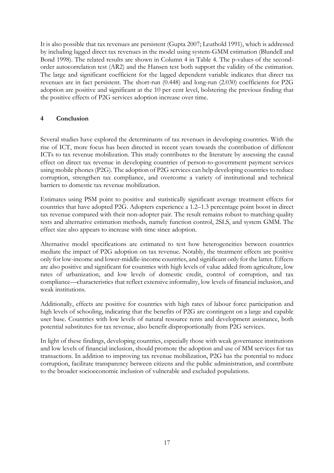It is also possible that tax revenues are persistent (Gupta 2007; Leuthold 1991), which is addressed by including lagged direct tax revenues in the model using system-GMM estimation (Blundell and Bond 1998). The related results are shown in Column 4 in Table 4. The p-values of the secondorder autocorrelation test (AR2) and the Hansen test both support the validity of the estimation. The large and significant coefficient for the lagged dependent variable indicates that direct tax revenues are in fact persistent. The short-run (0.448) and long-run (2.030) coefficients for P2G adoption are positive and significant at the 10 per cent level, bolstering the previous finding that the positive effects of P2G services adoption increase over time.

## **4 Conclusion**

Several studies have explored the determinants of tax revenues in developing countries. With the rise of ICT, more focus has been directed in recent years towards the contribution of different ICTs to tax revenue mobilization. This study contributes to the literature by assessing the causal effect on direct tax revenue in developing countries of person-to-government payment services using mobile phones (P2G). The adoption of P2G services can help developing countries to reduce corruption, strengthen tax compliance, and overcome a variety of institutional and technical barriers to domestic tax revenue mobilization.

Estimates using PSM point to positive and statistically significant average treatment effects for countries that have adopted P2G. Adopters experience a 1.2–1.3 percentage point boost in direct tax revenue compared with their non-adopter pair. The result remains robust to matching quality tests and alternative estimation methods, namely function control, 2SLS, and system GMM. The effect size also appears to increase with time since adoption.

Alternative model specifications are estimated to test how heterogeneities between countries mediate the impact of P2G adoption on tax revenue. Notably, the treatment effects are positive only for low-income and lower-middle-income countries, and significant only for the latter. Effects are also positive and significant for countries with high levels of value added from agriculture, low rates of urbanization, and low levels of domestic credit, control of corruption, and tax compliance—characteristics that reflect extensive informality, low levels of financial inclusion, and weak institutions.

Additionally, effects are positive for countries with high rates of labour force participation and high levels of schooling, indicating that the benefits of P2G are contingent on a large and capable user base. Countries with low levels of natural resource rents and development assistance, both potential substitutes for tax revenue, also benefit disproportionally from P2G services.

In light of these findings, developing countries, especially those with weak governance institutions and low levels of financial inclusion, should promote the adoption and use of MM services for tax transactions. In addition to improving tax revenue mobilization, P2G has the potential to reduce corruption, facilitate transparency between citizens and the public administration, and contribute to the broader socioeconomic inclusion of vulnerable and excluded populations.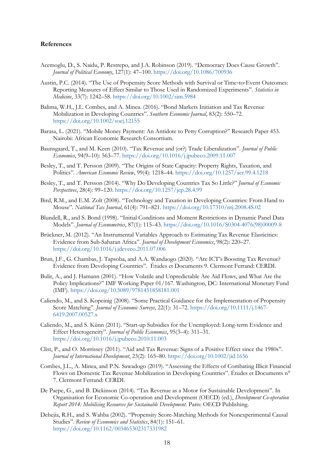#### **References**

- Acemoglu, D., S. Naidu, P. Restrepo, and J.A. Robinson (2019). "Democracy Does Cause Growth". *Journal of Political Economy*, 127(1): 47–100. <https://doi.org/10.1086/700936>
- Austin, P.C. (2014). "The Use of Propensity Score Methods with Survival or Time‐to‐Event Outcomes: Reporting Measures of Effect Similar to Those Used in Randomized Experiments". *Statistics in Medicine*, 33(7): 1242–58. <https://doi.org/10.1002/sim.5984>
- Balima, W.H., J.L. Combes, and A. Minea. (2016). "Bond Markets Initiation and Tax Revenue Mobilization in Developing Countries". *Southern Economic Journal*, 83(2): 550–72. <https://doi.org/10.1002/soej.12155>
- Barasa, L. (2021). "Mobile Money Payment: An Antidote to Petty Corruption?" Research Paper 453. Nairobi: African Economic Research Consortium.
- Baunsgaard, T., and M. Keen (2010). "Tax Revenue and (or?) Trade Liberalization". *Journal of Public Economics*, 94(9–10): 563–77. <https://doi.org/10.1016/j.jpubeco.2009.11.007>
- Besley, T., and T. Persson (2009). "The Origins of State Capacity: Property Rights, Taxation, and Politics". *American Economic Review*, 99(4): 1218–44. <https://doi.org/10.1257/aer.99.4.1218>
- Besley, T., and T. Persson (2014). "Why Do Developing Countries Tax So Little?" *Journal of Economic Perspectives*, 28(4): 99–120. <https://doi.org/10.1257/jep.28.4.99>
- Bird, R.M., and E.M. Zolt (2008). "Technology and Taxation in Developing Countries: From Hand to Mouse". *National Tax Journal*, 61(4): 791–821. <https://doi.org/10.17310/ntj.2008.4S.02>
- Blundell, R., and S. Bond (1998). "Initial Conditions and Moment Restrictions in Dynamic Panel Data Models". *Journal of Econometrics*, 87(1): 115–43. [https://doi.org/10.1016/S0304-4076\(98\)00009-8](https://doi.org/10.1016/S0304-4076(98)00009-8)
- Brückner, M. (2012). "An Instrumental Variables Approach to Estimating Tax Revenue Elasticities: Evidence from Sub-Saharan Africa". *Journal of Development Economics*, 98(2): 220–27. <https://doi.org/10.1016/j.jdeveco.2011.07.006>
- Brun, J.F., G. Chambas, J. Tapsoba, and A.A. Wandaogo (2020). "Are ICT's Boosting Tax Revenue? Evidence from Developing Countries". Études et Documents 9. Clermont Ferrand: CERDI.
- Bulir, A., and J. Hamann (2001). "How Volatile and Unpredictable Are Aid Flows, and What Are the Policy Implications?" IMF Working Paper 01/167. Washington, DC: International Monetary Fund (IMF). <https://doi.org/10.5089/9781451858181.001>
- Caliendo, M., and S. Kopeinig (2008). "Some Practical Guidance for the Implementation of Propensity Score Matching". *Journal of Economic Surveys*, 22(1): 31–72. [https://doi.org/10.1111/j.1467-](https://doi.org/10.1111/j.1467-6419.2007.00527.x) [6419.2007.00527.x](https://doi.org/10.1111/j.1467-6419.2007.00527.x)
- Caliendo, M., and S. Künn (2011). "Start-up Subsidies for the Unemployed: Long-term Evidence and Effect Heterogeneity". *Journal of Public Economics*, 95(3–4): 311–31. <https://doi.org/10.1016/j.jpubeco.2010.11.003>
- Clist, P., and O. Morrissey (2011). "Aid and Tax Revenue: Signs of a Positive Effect since the 1980s". *Journal of International Development*, 23(2): 165–80. <https://doi.org/10.1002/jid.1656>
- Combes, J.L., A. Minea, and P.N. Sawadogo (2019). "Assessing the Effects of Combating Illicit Financial Flows on Domestic Tax Revenue Mobilization in Developing Countries". Études et Documents n° 7. Clermont Ferrand: CERDI.
- De Paepe, G., and B. Dickinson (2014). "Tax Revenue as a Motor for Sustainable Development". In Organisation for Economic Co-operation and Development (OECD) (ed.), *Development Co-operation Report 2014: Mobilising Resources for Sustainable Development*. Paris: OECD Publishing.
- Dehejia, R.H., and S. Wahba (2002). "Propensity Score-Matching Methods for Nonexperimental Causal Studies". *Review of Economics and Statistics*, 84(1): 151–61. <https://doi.org/10.1162/003465302317331982>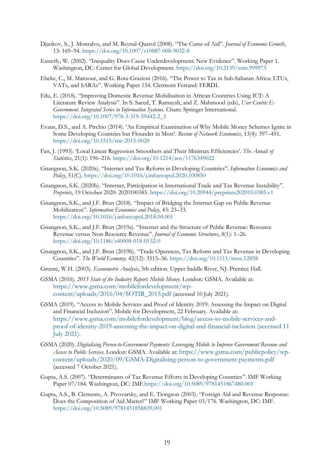- Djankov, S., J. Montalvo, and M. Reynal-Querol (2008). "The Curse of Aid". *Journal of Economic Growth*, 13: 169–94. <https://doi.org/10.1007/s10887-008-9032-8>
- Easterly, W. (2002). "Inequality Does Cause Underdevelopment: New Evidence". Working Paper 1. Washington, DC: Center for Global Development. <https://doi.org/10.2139/ssrn.999973>
- Ebeke, C., M. Mansour, and G. Rota-Graziosi (2016). "The Power to Tax in Sub-Saharan Africa: LTUs, VATs, and SARAs". Working Paper 154. Clermont Ferrand: FERDI.
- Eilu, E. (2018). "Improving Domestic Revenue Mobilisation in African Countries Using ICT: A Literature Review Analysis". In S. Saeed, T. Ramayah, and Z. Mahmood (eds), *User Centric E-Government. Integrated Series in Information Systems*. Cham: Springer International. [https://doi.org/10.1007/978-3-319-59442-2\\_3](https://doi.org/10.1007/978-3-319-59442-2_3)
- Evans, D.S., and A. Pirchio (2014). 'An Empirical Examination of Why Mobile Money Schemes Ignite in Some Developing Countries but Flounder in Most'. *Review of Network Economics*, 13(4): 397–451. <https://doi.org/10.1515/rne-2015-0020>
- Fan, J. (1993). 'Local Linear Regression Smoothers and Their Minimax Efficiencies'. *The Annals of Statistics*, 21(1): 196–216. <https://doi.org/10.1214/aos/1176349022>
- Gnangnon, S.K. (2020a). "Internet and Tax Reform in Developing Countries". *Information Economics and Policy*, 51(C). <https://doi.org/10.1016/j.infoecopol.2020.100850>
- Gnangnon, S.K. (2020b). "Internet, Participation in International Trade and Tax Revenue Instability". *Preprints*, 19 October 2020: 2020100385. <https://doi.org/10.20944/preprints202010.0385.v1>
- Gnangnon, S.K., and J.F. Brun (2018). "Impact of Bridging the Internet Gap on Public Revenue Mobilization". *Information Economics and Policy*, 43: 23–33. <https://doi.org/10.1016/j.infoecopol.2018.04.001>
- Gnangnon, S.K., and J.F. Brun (2019a). "Internet and the Structure of Public Revenue: Resource Revenue versus Non-Resource Revenue". *Journal of Economic Structures*, 8(1): 1–26. <https://doi.org/10.1186/s40008-018-0132-0>
- Gnangnon, S.K., and J.F. Brun (2019b). "Trade Openness, Tax Reform and Tax Revenue in Developing Countries". *The World Economy,* 42(12): 3515–36. <https://doi.org/10.1111/twec.12858>
- Greene, W.H. (2003). *Econometric Analysis*, 5th edition. Upper Saddle River, NJ: Prentice Hall.
- GSMA (2016). *2015 State of the Industry Report: Mobile Money*. London: GSMA. Available at: [https://www.gsma.com/mobilefordevelopment/wp](https://www.gsma.com/mobilefordevelopment/wp-content/uploads/2016/04/SOTIR_2015.pdf)[content/uploads/2016/04/SOTIR\\_2015.pdf](https://www.gsma.com/mobilefordevelopment/wp-content/uploads/2016/04/SOTIR_2015.pdf) (accessed 10 July 2021).
- GSMA (2019). "Access to Mobile Services and Proof of Identity 2019: Assessing the Impact on Digital and Financial Inclusion". Mobile for Development, 22 February. Available at: [https://www.gsma.com/mobilefordevelopment/blog/access-to-mobile-services-and](https://www.gsma.com/mobilefordevelopment/blog/access-to-mobile-services-and-proof-of-identity-2019-assessing-the-impact-on-digital-and-financial-inclusion/)[proof-of-identity-2019-assessing-the-impact-on-digital-and-financial-inclusion](https://www.gsma.com/mobilefordevelopment/blog/access-to-mobile-services-and-proof-of-identity-2019-assessing-the-impact-on-digital-and-financial-inclusion/) (accessed 11 July 2021).
- GSMA (2020). *Digitalising Person-to-Government Payments: Leveraging Mobile to Improve Government Revenue and Access to Public Services*. London: GSMA. Available at: [https://www.gsma.com/publicpolicy/wp](https://www.gsma.com/publicpolicy/wp-content/uploads/2020/09/GSMA-Digitalising-person-to-government-payments.pdf)[content/uploads/2020/09/GSMA-Digitalising-person-to-government-payments.pdf](https://www.gsma.com/publicpolicy/wp-content/uploads/2020/09/GSMA-Digitalising-person-to-government-payments.pdf) (accessed 7 October 2021).
- Gupta, A.S. (2007). "Determinants of Tax Revenue Efforts in Developing Countries". IMF Working Paper 07/184. Washington, DC: IMF[.https://doi.org/10.5089/9781451867480.001](https://doi.org/10.5089/9781451867480.001)
- Gupta, A.S., B. Clements, A. Pivovarsky, and E. Tiongson (2003). "Foreign Aid and Revenue Response: Does the Composition of Aid Matter?" IMF Working Paper 03/176. Washington, DC: IMF. <https://doi.org/10.5089/9781451858839.001>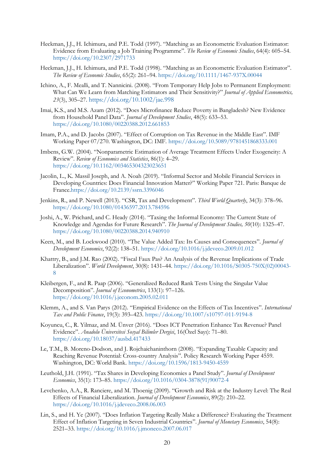- Heckman, J.J., H. Ichimura, and P.E. Todd (1997). "Matching as an Econometric Evaluation Estimator: Evidence from Evaluating a Job Training Programme". *The Review of Economic Studies*, 64(4): 605–54. <https://doi.org/10.2307/2971733>
- Heckman, J.J., H. Ichimura, and P.E. Todd (1998). "Matching as an Econometric Evaluation Estimator". *The Review of Economic Studies*, 65(2): 261–94. <https://doi.org/10.1111/1467-937X.00044>
- Ichino, A., F. Mealli, and T. Nannicini. (2008). "From Temporary Help Jobs to Permanent Employment: What Can We Learn from Matching Estimators and Their Sensitivity?" *Journal of Applied Econometrics, 23*(3), 305–27. <https://doi.org/10.1002/jae.998>
- Imai, K.S., and M.S. Azam (2012). "Does Microfinance Reduce Poverty in Bangladesh? New Evidence from Household Panel Data". *Journal of Development Studies*, 48(5): 633–53. <https://doi.org/10.1080/00220388.2012.661853>
- Imam, P.A., and D. Jacobs (2007). "Effect of Corruption on Tax Revenue in the Middle East". IMF Working Paper 07/270. Washington, DC: IMF. <https://doi.org/10.5089/9781451868333.001>
- Imbens, G.W. (2004). "Nonparametric Estimation of Average Treatment Effects Under Exogeneity: A Review". *Review of Economics and Statistics*, 86(1): 4–29. <https://doi.org/10.1162/003465304323023651>
- Jacolin, L., K. Massil Joseph, and A. Noah (2019). "Informal Sector and Mobile Financial Services in Developing Countries: Does Financial Innovation Matter?" Working Paper 721. Paris: Banque de France[.https://doi.org/10.2139/ssrn.3396046](https://doi.org/10.2139/ssrn.3396046)
- Jenkins, R., and P. Newell (2013). "CSR, Tax and Development". *Third World Quarterly*, 34(3): 378–96. <https://doi.org/10.1080/01436597.2013.784596>
- Joshi, A., W. Prichard, and C. Heady (2014). "Taxing the Informal Economy: The Current State of Knowledge and Agendas for Future Research". *The Journal of Development Studies, 50*(10): 1325–47. <https://doi.org/10.1080/00220388.2014.940910>
- Keen, M., and B. Lockwood (2010). "The Value Added Tax: Its Causes and Consequences". *Journal of Development Economics*, 92(2): 138–51. <https://doi.org/10.1016/j.jdeveco.2009.01.012>
- Khattry, B., and J.M. Rao (2002). "Fiscal Faux Pas? An Analysis of the Revenue Implications of Trade Liberalization". *World Development*, 30(8): 1431–44. [https://doi.org/10.1016/S0305-750X\(02\)00043-](https://doi.org/10.1016/S0305-750X(02)00043-8) [8](https://doi.org/10.1016/S0305-750X(02)00043-8)
- Kleibergen, F., and R. Paap (2006). "Generalized Reduced Rank Tests Using the Singular Value Decomposition". *Journal of Econometrics*, 133(1): 97–126. <https://doi.org/10.1016/j.jeconom.2005.02.011>
- Klemm, A., and S. Van Parys (2012). "Empirical Evidence on the Effects of Tax Incentives". *International Tax and Public Finance*, 19(3): 393–423. <https://doi.org/10.1007/s10797-011-9194-8>
- Koyuncu, C., R. Yilmaz, and M. Ünver (2016). "Does ICT Penetration Enhance Tax Revenue? Panel Evidence". *Anadolu Üniversitesi Sosyal Bilimler Dergisi*, 16(Özel Sayı): 71–80. <https://doi.org/10.18037/ausbd.417433>
- Le, T.M., B. Moreno-Dodson, and J. Rojchaichaninthorn (2008). "Expanding Taxable Capacity and Reaching Revenue Potential: Cross-country Analysis". Policy Research Working Paper 4559. Washington, DC: World Bank. <https://doi.org/10.1596/1813-9450-4559>
- Leuthold, J.H. (1991). "Tax Shares in Developing Economies a Panel Study". *Journal of Development Economics*, 35(1): 173–85. [https://doi.org/10.1016/0304-3878\(91\)90072-4](https://doi.org/10.1016/0304-3878(91)90072-4)
- Levchenko, A.A., R. Ranciere, and M. Thoenig (2009). "Growth and Risk at the Industry Level: The Real Effects of Financial Liberalization. *Journal of Development Economics*, 89(2): 210–22. <https://doi.org/10.1016/j.jdeveco.2008.06.003>
- Lin, S., and H. Ye (2007). "Does Inflation Targeting Really Make a Difference? Evaluating the Treatment Effect of Inflation Targeting in Seven Industrial Countries". *Journal of Monetary Economics*, 54(8): 2521–33. <https://doi.org/10.1016/j.jmoneco.2007.06.017>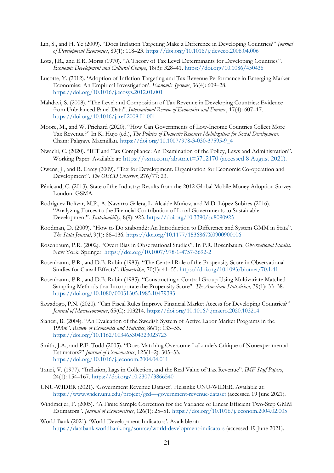- Lin, S., and H. Ye (2009). "Does Inflation Targeting Make a Difference in Developing Countries?" *Journal of Development Economics*, 89(1): 118–23. <https://doi.org/10.1016/j.jdeveco.2008.04.006>
- Lotz, J.R., and E.R. Morss (1970). "A Theory of Tax Level Determinants for Developing Countries". *Economic Development and Cultural Change*, 18(3): 328–41. <https://doi.org/10.1086/450436>
- Lucotte, Y. (2012). 'Adoption of Inflation Targeting and Tax Revenue Performance in Emerging Market Economies: An Empirical Investigation'. *Economic Systems*, 36(4): 609–28. <https://doi.org/10.1016/j.ecosys.2012.01.001>
- Mahdavi, S. (2008). "The Level and Composition of Tax Revenue in Developing Countries: Evidence from Unbalanced Panel Data". *International Review of Economics and Finance*, 17(4): 607–17. <https://doi.org/10.1016/j.iref.2008.01.001>
- Moore, M., and W. Prichard (2020). "How Can Governments of Low-Income Countries Collect More Tax Revenue?" In K. Hujo (ed.), *The Politics of Domestic Resource Mobilization for Social Development*. Cham: Palgrave Macmillan. [https://doi.org/10.1007/978-3-030-37595-9\\_4](https://doi.org/10.1007/978-3-030-37595-9_4)
- Nwachi, C. (2020). "ICT and Tax Compliance: An Examination of the Policy, Laws and Administration". Working Paper. Available at: <https://ssrn.com/abstract=3712170> (accessed 8 August 2021).
- Owens, J., and R. Carey (2009). "Tax for Development. Organisation for Economic Co-operation and Development". *The OECD Observer*, 276/77: 23.
- Pénicaud, C. (2013). State of the Industry: Results from the 2012 Global Mobile Money Adoption Survey. London: GSMA.
- Rodríguez Bolívar, M.P., A. Navarro Galera, L. Alcaide Muñoz, and M.D. López Subires (2016). "Analyzing Forces to the Financial Contribution of Local Governments to Sustainable Development". *Sustainability*, 8(9): 925. <https://doi.org/10.3390/su8090925>
- Roodman, D. (2009). "How to Do xtabond2: An Introduction to Difference and System GMM in Stata". *The Stata Journal*, 9(1): 86–136. <https://doi.org/10.1177/1536867X0900900106>
- Rosenbaum, P.R. (2002). "Overt Bias in Observational Studies". In P.R. Rosenbaum, *Observational Studies*. New York: Springer. <https://doi.org/10.1007/978-1-4757-3692-2>
- Rosenbaum, P.R., and D.B. Rubin (1983). "The Central Role of the Propensity Score in Observational Studies for Causal Effects". *Biometrika*, 70(1): 41–55. <https://doi.org/10.1093/biomet/70.1.41>
- Rosenbaum, P.R., and D.B. Rubin (1985). "Constructing a Control Group Using Multivariate Matched Sampling Methods that Incorporate the Propensity Score". *The American Statistician*, 39(1): 33–38. <https://doi.org/10.1080/00031305.1985.10479383>
- Sawadogo, P.N. (2020). "Can Fiscal Rules Improve Financial Market Access for Developing Countries?" *Journal of Macroeconomics*, 65(C): 103214. <https://doi.org/10.1016/j.jmacro.2020.103214>
- Sianesi, B. (2004). "An Evaluation of the Swedish System of Active Labor Market Programs in the 1990s". *Review of Economics and Statistics*, 86(1): 133–55. <https://doi.org/10.1162/003465304323023723>
- Smith, J.A., and P.E. Todd (2005). "Does Matching Overcome LaLonde's Critique of Nonexperimental Estimators?" *Journal of Econometrics*, 125(1–2): 305–53. <https://doi.org/10.1016/j.jeconom.2004.04.011>
- Tanzi, V. (1977). "Inflation, Lags in Collection, and the Real Value of Tax Revenue". *IMF Staff Papers*, 24(1): 154–167. <https://doi.org/10.2307/3866540>
- UNU-WIDER (2021). 'Government Revenue Dataset'. Helsinki: UNU-WIDER. Available at: [https://www.wider.unu.edu/project/grd-](https://www.wider.unu.edu/project/grd-–-government-revenue-dataset)–-government-revenue-dataset (accessed 19 June 2021).
- Windmeijer, F. (2005). "A Finite Sample Correction for the Variance of Linear Efficient Two-Step GMM Estimators". *Journal of Econometrics*, 126(1): 25–51. <https://doi.org/10.1016/j.jeconom.2004.02.005>
- World Bank (2021). 'World Development Indicators'. Available at: <https://databank.worldbank.org/source/world-development-indicators> (accessed 19 June 2021).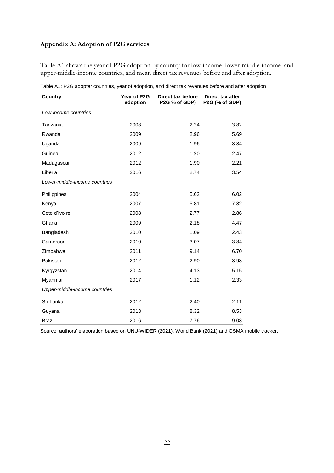## **Appendix A: Adoption of P2G services**

Table A1 shows the year of P2G adoption by country for low-income, lower-middle-income, and upper-middle-income countries, and mean direct tax revenues before and after adoption.

| Country                       | Year of P2G<br>adoption | Direct tax before<br>P2G % of GDP) | Direct tax after<br>P2G (% of GDP) |
|-------------------------------|-------------------------|------------------------------------|------------------------------------|
| Low-income countries          |                         |                                    |                                    |
| Tanzania                      | 2008                    | 2.24                               | 3.82                               |
| Rwanda                        | 2009                    | 2.96                               | 5.69                               |
| Uganda                        | 2009                    | 1.96                               | 3.34                               |
| Guinea                        | 2012                    | 1.20                               | 2.47                               |
| Madagascar                    | 2012                    | 1.90                               | 2.21                               |
| Liberia                       | 2016                    | 2.74                               | 3.54                               |
| Lower-middle-income countries |                         |                                    |                                    |
| Philippines                   | 2004                    | 5.62                               | 6.02                               |
| Kenya                         | 2007                    | 5.81                               | 7.32                               |
| Cote d'Ivoire                 | 2008                    | 2.77                               | 2.86                               |
| Ghana                         | 2009                    | 2.18                               | 4.47                               |
| Bangladesh                    | 2010                    | 1.09                               | 2.43                               |
| Cameroon                      | 2010                    | 3.07                               | 3.84                               |
| Zimbabwe                      | 2011                    | 9.14                               | 6.70                               |
| Pakistan                      | 2012                    | 2.90                               | 3.93                               |
| Kyrgyzstan                    | 2014                    | 4.13                               | 5.15                               |
| Myanmar                       | 2017                    | 1.12                               | 2.33                               |
| Upper-middle-income countries |                         |                                    |                                    |
| Sri Lanka                     | 2012                    | 2.40                               | 2.11                               |
| Guyana                        | 2013                    | 8.32                               | 8.53                               |
| <b>Brazil</b>                 | 2016                    | 7.76                               | 9.03                               |

Table A1: P2G adopter countries, year of adoption, and direct tax revenues before and after adoption

Source: authors' elaboration based on UNU-WIDER (2021), World Bank (2021) and GSMA mobile tracker.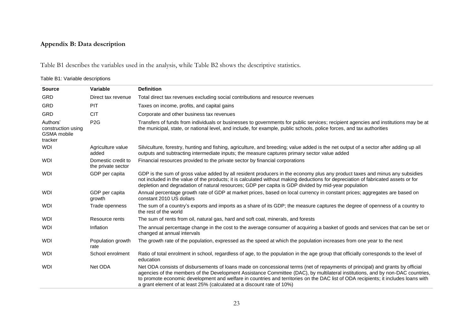## **Appendix B: Data description**

Table B1 describes the variables used in the analysis, while Table B2 shows the descriptive statistics.

## Table B1: Variable descriptions

| <b>Source</b>                                            | Variable                                 | <b>Definition</b>                                                                                                                                                                                                                                                                                                                                                                                                                                                               |
|----------------------------------------------------------|------------------------------------------|---------------------------------------------------------------------------------------------------------------------------------------------------------------------------------------------------------------------------------------------------------------------------------------------------------------------------------------------------------------------------------------------------------------------------------------------------------------------------------|
| <b>GRD</b>                                               | Direct tax revenue                       | Total direct tax revenues excluding social contributions and resource revenues                                                                                                                                                                                                                                                                                                                                                                                                  |
| <b>GRD</b>                                               | PIT                                      | Taxes on income, profits, and capital gains                                                                                                                                                                                                                                                                                                                                                                                                                                     |
| <b>GRD</b>                                               | <b>CIT</b>                               | Corporate and other business tax revenues                                                                                                                                                                                                                                                                                                                                                                                                                                       |
| Authors'<br>construction using<br>GSMA mobile<br>tracker | P <sub>2</sub> G                         | Transfers of funds from individuals or businesses to governments for public services; recipient agencies and institutions may be at<br>the municipal, state, or national level, and include, for example, public schools, police forces, and tax authorities                                                                                                                                                                                                                    |
| <b>WDI</b>                                               | Agriculture value<br>added               | Silviculture, forestry, hunting and fishing, agriculture, and breeding; value added is the net output of a sector after adding up all<br>outputs and subtracting intermediate inputs; the measure captures primary sector value added                                                                                                                                                                                                                                           |
| <b>WDI</b>                                               | Domestic credit to<br>the private sector | Financial resources provided to the private sector by financial corporations                                                                                                                                                                                                                                                                                                                                                                                                    |
| <b>WDI</b>                                               | GDP per capita                           | GDP is the sum of gross value added by all resident producers in the economy plus any product taxes and minus any subsidies<br>not included in the value of the products; it is calculated without making deductions for depreciation of fabricated assets or for<br>depletion and degradation of natural resources; GDP per capita is GDP divided by mid-year population                                                                                                       |
| <b>WDI</b>                                               | GDP per capita<br>growth                 | Annual percentage growth rate of GDP at market prices, based on local currency in constant prices; aggregates are based on<br>constant 2010 US dollars                                                                                                                                                                                                                                                                                                                          |
| <b>WDI</b>                                               | Trade openness                           | The sum of a country's exports and imports as a share of its GDP; the measure captures the degree of openness of a country to<br>the rest of the world                                                                                                                                                                                                                                                                                                                          |
| <b>WDI</b>                                               | Resource rents                           | The sum of rents from oil, natural gas, hard and soft coal, minerals, and forests                                                                                                                                                                                                                                                                                                                                                                                               |
| <b>WDI</b>                                               | Inflation                                | The annual percentage change in the cost to the average consumer of acquiring a basket of goods and services that can be set or<br>changed at annual intervals                                                                                                                                                                                                                                                                                                                  |
| <b>WDI</b>                                               | Population growth<br>rate                | The growth rate of the population, expressed as the speed at which the population increases from one year to the next                                                                                                                                                                                                                                                                                                                                                           |
| <b>WDI</b>                                               | School enrolment                         | Ratio of total enrolment in school, regardless of age, to the population in the age group that officially corresponds to the level of<br>education                                                                                                                                                                                                                                                                                                                              |
| <b>WDI</b>                                               | Net ODA                                  | Net ODA consists of disbursements of loans made on concessional terms (net of repayments of principal) and grants by official<br>agencies of the members of the Development Assistance Committee (DAC), by multilateral institutions, and by non-DAC countries,<br>to promote economic development and welfare in countries and territories on the DAC list of ODA recipients; it includes loans with<br>a grant element of at least 25% (calculated at a discount rate of 10%) |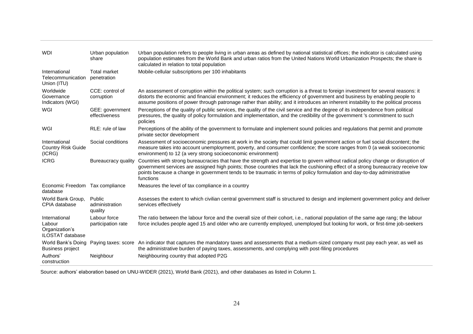| <b>WDI</b>                                                           | Urban population<br>share           | Urban population refers to people living in urban areas as defined by national statistical offices; the indicator is calculated using<br>population estimates from the World Bank and urban ratios from the United Nations World Urbanization Prospects; the share is<br>calculated in relation to total population                                                                                             |
|----------------------------------------------------------------------|-------------------------------------|-----------------------------------------------------------------------------------------------------------------------------------------------------------------------------------------------------------------------------------------------------------------------------------------------------------------------------------------------------------------------------------------------------------------|
| International<br>Telecommunication<br>Union (ITU)                    | <b>Total market</b><br>penetration  | Mobile-cellular subscriptions per 100 inhabitants                                                                                                                                                                                                                                                                                                                                                               |
| Worldwide<br>Governance<br>Indicators (WGI)                          | CCE: control of<br>corruption       | An assessment of corruption within the political system; such corruption is a threat to foreign investment for several reasons: it<br>distorts the economic and financial environment; it reduces the efficiency of government and business by enabling people to<br>assume positions of power through patronage rather than ability; and it introduces an inherent instability to the political process        |
| WGI                                                                  | GEE: government<br>effectiveness    | Perceptions of the quality of public services, the quality of the civil service and the degree of its independence from political<br>pressures, the quality of policy formulation and implementation, and the credibility of the government 's commitment to such<br>policies                                                                                                                                   |
| WGI                                                                  | RLE: rule of law                    | Perceptions of the ability of the government to formulate and implement sound policies and regulations that permit and promote<br>private sector development                                                                                                                                                                                                                                                    |
| International<br><b>Country Risk Guide</b><br>(ICRG)                 | Social conditions                   | Assessment of socioeconomic pressures at work in the society that could limit government action or fuel social discontent; the<br>measure takes into account unemployment, poverty, and consumer confidence; the score ranges from 0 (a weak socioeconomic<br>environment) to 12 (a very strong socioeconomic environment)                                                                                      |
| <b>ICRG</b>                                                          | Bureaucracy quality                 | Countries with strong bureaucracies that have the strength and expertise to govern without radical policy change or disruption of<br>government services are assigned high points; those countries that lack the cushioning effect of a strong bureaucracy receive low<br>points because a change in government tends to be traumatic in terms of policy formulation and day-to-day administrative<br>functions |
| Economic Freedom Tax compliance<br>database                          |                                     | Measures the level of tax compliance in a country                                                                                                                                                                                                                                                                                                                                                               |
| World Bank Group,<br>CPIA database                                   | Public<br>administration<br>quality | Assesses the extent to which civilian central government staff is structured to design and implement government policy and deliver<br>services effectively                                                                                                                                                                                                                                                      |
| International<br>Labour<br>Organization's<br><b>ILOSTAT</b> database | Labour force<br>participation rate  | The ratio between the labour force and the overall size of their cohort, i.e., national population of the same age rang; the labour<br>force includes people aged 15 and older who are currently employed, unemployed but looking for work, or first-time job-seekers                                                                                                                                           |
| World Bank's Doing<br><b>Business project</b>                        | Paying taxes: score                 | An indicator that captures the mandatory taxes and assessments that a medium-sized company must pay each year, as well as<br>the administrative burden of paying taxes, assessments, and complying with post-filing procedures                                                                                                                                                                                  |
| Authors'<br>construction                                             | Neighbour                           | Neighbouring country that adopted P2G                                                                                                                                                                                                                                                                                                                                                                           |

Source: authors' elaboration based on UNU-WIDER (2021), World Bank (2021), and other databases as listed in Column 1.